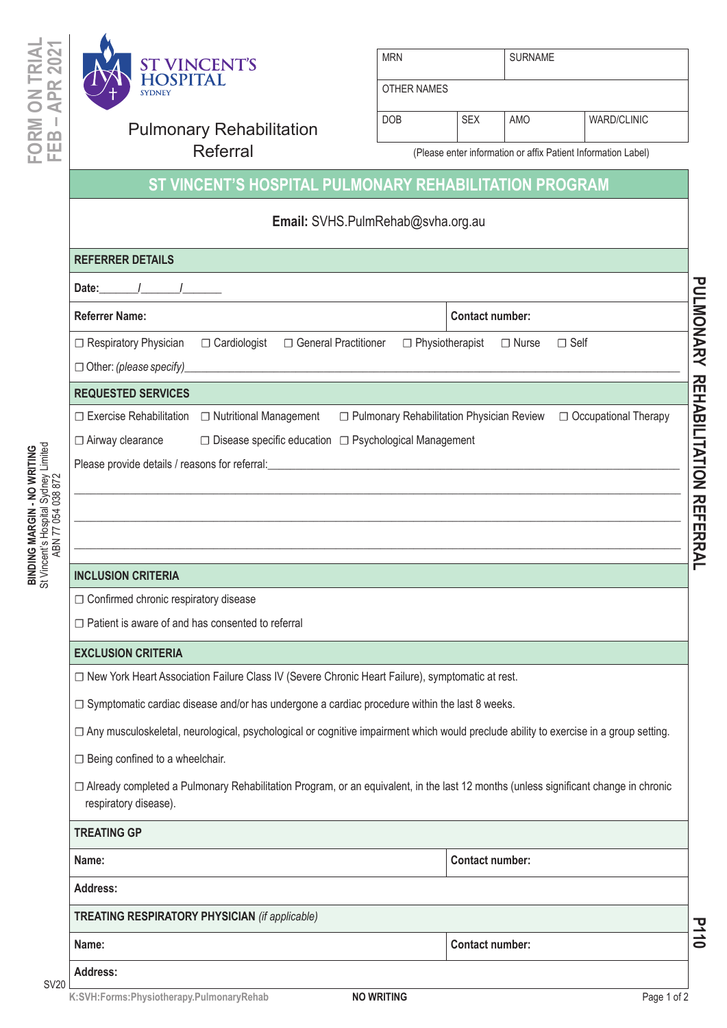



| <b>MRN</b>  | <b>SURNAME</b> |
|-------------|----------------|
|             |                |
| OTHER NAMES |                |

| <b>Pulmonary Rehabilitation</b> | <b>DOB</b> | <b>SEX</b> | AMO                                                           | <b>WARD/CLINIC</b> |
|---------------------------------|------------|------------|---------------------------------------------------------------|--------------------|
| Referral                        |            |            | (Please enter information or affix Patient Information Label) |                    |

## **ST VINCENT'S HOSPITAL PULMONARY REHABILITATION PROGRAM**

 $\overline{O}$ 

## **Email:** SVHS.PulmRehab@svha.org.au

| <b>REFERRER DETAILS</b>                                                                              |                                                                                                                                                                                                                                |                        |                        |                                             |                        |
|------------------------------------------------------------------------------------------------------|--------------------------------------------------------------------------------------------------------------------------------------------------------------------------------------------------------------------------------|------------------------|------------------------|---------------------------------------------|------------------------|
| Date: $\frac{1}{1}$                                                                                  |                                                                                                                                                                                                                                |                        |                        |                                             |                        |
| <b>Referrer Name:</b>                                                                                |                                                                                                                                                                                                                                |                        | <b>Contact number:</b> |                                             |                        |
| □ Respiratory Physician                                                                              | □ Cardiologist<br>□ General Practitioner                                                                                                                                                                                       | $\Box$ Physiotherapist |                        | $\Box$ Nurse                                | $\Box$ Self            |
|                                                                                                      |                                                                                                                                                                                                                                |                        |                        |                                             |                        |
| <b>REQUESTED SERVICES</b>                                                                            |                                                                                                                                                                                                                                |                        |                        |                                             |                        |
|                                                                                                      | □ Exercise Rehabilitation □ Nutritional Management                                                                                                                                                                             |                        |                        | □ Pulmonary Rehabilitation Physician Review | □ Occupational Therapy |
| □ Airway clearance                                                                                   | □ Disease specific education □ Psychological Management                                                                                                                                                                        |                        |                        |                                             |                        |
|                                                                                                      | Please provide details / reasons for referral: example and the state of the state of the state of the state of the state of the state of the state of the state of the state of the state of the state of the state of the sta |                        |                        |                                             |                        |
|                                                                                                      |                                                                                                                                                                                                                                |                        |                        |                                             |                        |
|                                                                                                      |                                                                                                                                                                                                                                |                        |                        |                                             |                        |
|                                                                                                      |                                                                                                                                                                                                                                |                        |                        |                                             |                        |
| <b>INCLUSION CRITERIA</b>                                                                            |                                                                                                                                                                                                                                |                        |                        |                                             |                        |
| □ Confirmed chronic respiratory disease                                                              |                                                                                                                                                                                                                                |                        |                        |                                             |                        |
| $\Box$ Patient is aware of and has consented to referral                                             |                                                                                                                                                                                                                                |                        |                        |                                             |                        |
| <b>EXCLUSION CRITERIA</b>                                                                            |                                                                                                                                                                                                                                |                        |                        |                                             |                        |
|                                                                                                      | □ New York Heart Association Failure Class IV (Severe Chronic Heart Failure), symptomatic at rest.                                                                                                                             |                        |                        |                                             |                        |
| $\Box$ Symptomatic cardiac disease and/or has undergone a cardiac procedure within the last 8 weeks. |                                                                                                                                                                                                                                |                        |                        |                                             |                        |
|                                                                                                      | □ Any musculoskeletal, neurological, psychological or cognitive impairment which would preclude ability to exercise in a group setting.                                                                                        |                        |                        |                                             |                        |
| $\Box$ Being confined to a wheelchair.                                                               |                                                                                                                                                                                                                                |                        |                        |                                             |                        |
| respiratory disease).                                                                                | □ Already completed a Pulmonary Rehabilitation Program, or an equivalent, in the last 12 months (unless significant change in chronic                                                                                          |                        |                        |                                             |                        |
| <b>TREATING GP</b>                                                                                   |                                                                                                                                                                                                                                |                        |                        |                                             |                        |
| Name:                                                                                                |                                                                                                                                                                                                                                |                        | <b>Contact number:</b> |                                             |                        |
| <b>Address:</b>                                                                                      |                                                                                                                                                                                                                                |                        |                        |                                             |                        |
|                                                                                                      | <b>TREATING RESPIRATORY PHYSICIAN (if applicable)</b>                                                                                                                                                                          |                        |                        |                                             |                        |
| Name:                                                                                                |                                                                                                                                                                                                                                |                        | <b>Contact number:</b> |                                             |                        |
| <b>Address:</b>                                                                                      |                                                                                                                                                                                                                                |                        |                        |                                             |                        |

SV20

K:SVH:Forms:Physiotherapy.PulmonaryRehab **NO WRITING NO WRITING** Page 1 of 2

**P110**

**PULMONARY REHABILITATION REFERRAL**

PULMONARY REHABILITATION REFERRAL